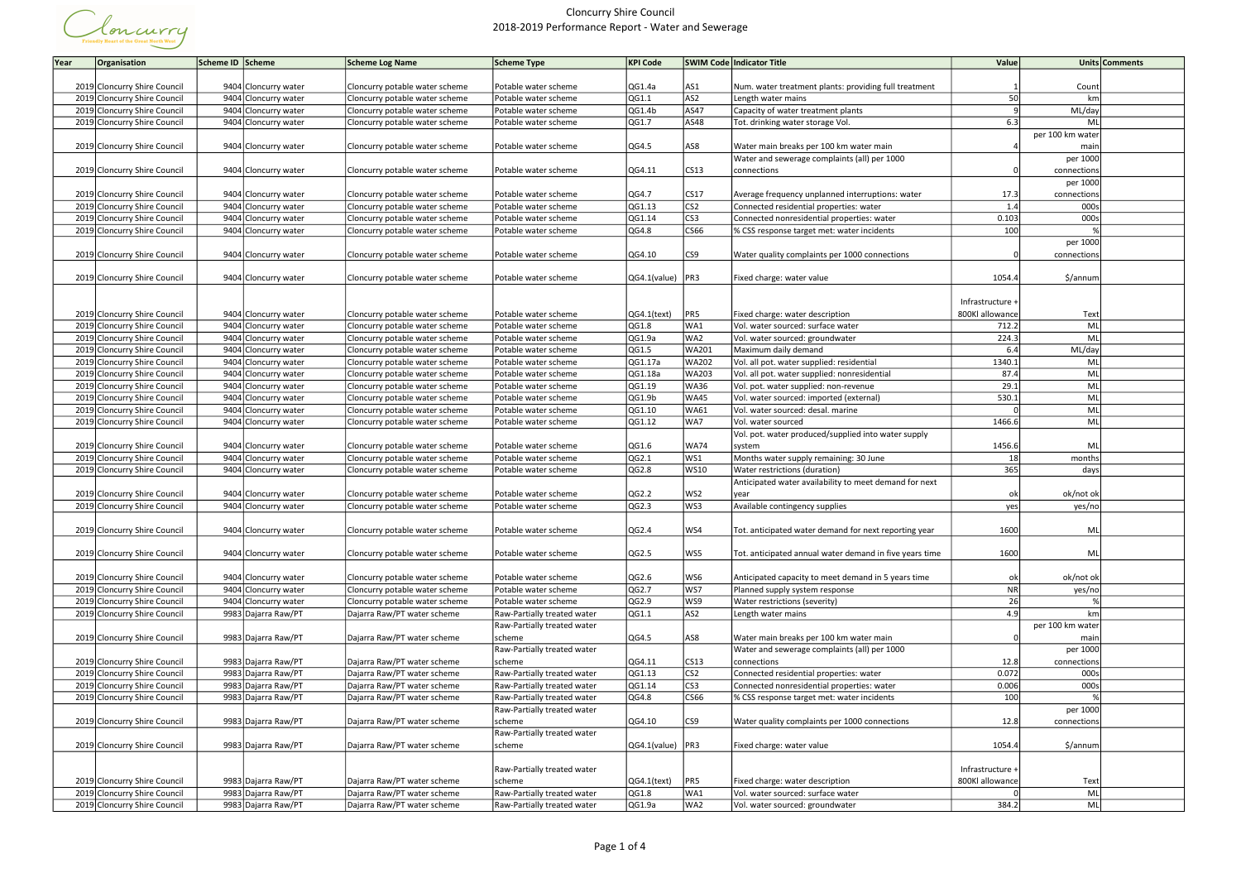

| Year<br>Organisation                                         | Scheme ID Scheme                           | <b>Scheme Log Name</b>                                     | Scheme Type                           | <b>KPI Code</b>                 |                         | <b>SWIM Code Indicator Title</b>                        | Value            |                     | Units Comments |
|--------------------------------------------------------------|--------------------------------------------|------------------------------------------------------------|---------------------------------------|---------------------------------|-------------------------|---------------------------------------------------------|------------------|---------------------|----------------|
|                                                              |                                            |                                                            |                                       |                                 |                         |                                                         |                  |                     |                |
| 2019 Cloncurry Shire Council                                 | 9404 Cloncurry water                       | Cloncurry potable water scheme                             | Potable water scheme                  | QG1.4a                          | AS1                     | Num. water treatment plants: providing full treatment   |                  | Count               |                |
| 2019 Cloncurry Shire Council                                 | 9404 Cloncurry water                       | Cloncurry potable water scheme                             | Potable water scheme                  | QG1.1                           | AS2                     | Length water mains                                      | 50               | km                  |                |
| 2019 Cloncurry Shire Council                                 | 9404 Cloncurry water                       | Cloncurry potable water scheme                             | Potable water scheme                  | QG1.4b                          | AS47                    | Capacity of water treatment plants                      |                  | ML/day              |                |
| 2019 Cloncurry Shire Council                                 | 9404 Cloncurry water                       | Cloncurry potable water scheme                             | Potable water scheme                  | QG1.7                           | AS48                    | Tot. drinking water storage Vol.                        | 6.3              | ML                  |                |
|                                                              |                                            |                                                            |                                       |                                 |                         |                                                         |                  | per 100 km water    |                |
| 2019 Cloncurry Shire Council                                 | 9404 Cloncurry water                       | Cloncurry potable water scheme                             | Potable water scheme                  | QG4.5                           | AS8                     | Water main breaks per 100 km water main                 |                  | mair                |                |
|                                                              |                                            |                                                            |                                       |                                 |                         | Water and sewerage complaints (all) per 1000            |                  | per 1000            |                |
| 2019 Cloncurry Shire Council                                 | 9404 Cloncurry water                       | Cloncurry potable water scheme                             | Potable water scheme                  | QG4.11                          | $ CS13\rangle$          | connections                                             |                  | connections         |                |
|                                                              |                                            |                                                            |                                       |                                 |                         |                                                         |                  | per 1000            |                |
| 2019 Cloncurry Shire Council                                 | 9404 Cloncurry water                       | Cloncurry potable water scheme                             | Potable water scheme                  | QG4.7                           | CS17                    | Average frequency unplanned interruptions: water        | 17.3             | connections         |                |
| 2019 Cloncurry Shire Council                                 | 9404 Cloncurry water                       | Cloncurry potable water scheme                             | Potable water scheme                  | QG1.13                          | CS <sub>2</sub>         | Connected residential properties: water                 | 1.4              | 000s                |                |
| 2019 Cloncurry Shire Council                                 | 9404 Cloncurry water                       | Cloncurry potable water scheme                             | Potable water scheme                  | QG1.14                          | CS <sub>3</sub>         | Connected nonresidential properties: water              | 0.103            | 000s                |                |
| 2019 Cloncurry Shire Council                                 | 9404 Cloncurry water                       | Cloncurry potable water scheme                             | Potable water scheme                  | QG4.8                           | CS66                    | % CSS response target met: water incidents              | 100              |                     |                |
|                                                              |                                            |                                                            |                                       |                                 |                         |                                                         |                  | per 1000            |                |
| 2019 Cloncurry Shire Council                                 | 9404 Cloncurry water                       | Cloncurry potable water scheme                             | Potable water scheme                  | QG4.10                          | CS9                     | Water quality complaints per 1000 connections           |                  | connections         |                |
|                                                              |                                            |                                                            |                                       |                                 |                         |                                                         |                  |                     |                |
|                                                              |                                            |                                                            |                                       |                                 |                         |                                                         |                  |                     |                |
| 2019 Cloncurry Shire Council                                 | 9404 Cloncurry water                       | Cloncurry potable water scheme                             | Potable water scheme                  | $QG4.1$ (value)   PR3           |                         | Fixed charge: water value                               | 1054.4           | \$/annum            |                |
|                                                              |                                            |                                                            |                                       |                                 |                         |                                                         |                  |                     |                |
|                                                              |                                            |                                                            |                                       |                                 |                         |                                                         | Infrastructure + |                     |                |
| 2019 Cloncurry Shire Council                                 | 9404 Cloncurry water                       | Cloncurry potable water scheme                             | Potable water scheme                  | $QG4.1$ (text)                  | PR5                     | Fixed charge: water description                         | 800Kl allowance  | Text                |                |
| 2019 Cloncurry Shire Council                                 | 9404 Cloncurry water                       | Cloncurry potable water scheme                             | Potable water scheme                  | QG1.8                           | WA1                     | Vol. water sourced: surface water                       | 712.2            | ML                  |                |
| 2019 Cloncurry Shire Council                                 | 9404 Cloncurry water                       | Cloncurry potable water scheme                             | Potable water scheme                  | QG1.9a                          | WA2                     | Vol. water sourced: groundwater                         | 224.3            | ML                  |                |
| 2019 Cloncurry Shire Council                                 | 9404 Cloncurry water                       | Cloncurry potable water scheme                             | Potable water scheme                  | QG1.5                           | WA201                   | Maximum daily demand                                    | 6.4              | ML/day              |                |
| 2019 Cloncurry Shire Council                                 | 9404 Cloncurry water                       | Cloncurry potable water scheme                             | Potable water scheme                  | QG1.17a                         | <b>WA202</b>            | Vol. all pot. water supplied: residential               | 1340.1           | ML                  |                |
| 2019 Cloncurry Shire Council                                 | 9404 Cloncurry water                       | Cloncurry potable water scheme                             | Potable water scheme                  | QG1.18a                         | <b>WA203</b>            | Vol. all pot. water supplied: nonresidential            | 87.4             | ML                  |                |
| 2019 Cloncurry Shire Council                                 | 9404 Cloncurry water                       | Cloncurry potable water scheme                             | Potable water scheme                  | QG1.19                          | WA36                    | Vol. pot. water supplied: non-revenue                   | 29.1             | ML                  |                |
| 2019 Cloncurry Shire Council                                 | 9404 Cloncurry water                       | Cloncurry potable water scheme                             | Potable water scheme                  | QG1.9b                          | <b>WA45</b>             | Vol. water sourced: imported (external)                 | 530.1            | ML                  |                |
| 2019 Cloncurry Shire Council                                 | 9404 Cloncurry water                       | Cloncurry potable water scheme                             | Potable water scheme                  | QG1.10                          | <b>WA61</b>             | Vol. water sourced: desal. marine                       |                  | ML                  |                |
| 2019 Cloncurry Shire Council                                 | 9404 Cloncurry water                       | Cloncurry potable water scheme                             | Potable water scheme                  | QG1.12                          | WA7                     | Vol. water sourced                                      | 1466.6           | ML                  |                |
|                                                              |                                            |                                                            |                                       |                                 |                         | Vol. pot. water produced/supplied into water supply     |                  |                     |                |
| 2019 Cloncurry Shire Council                                 | 9404 Cloncurry water                       | Cloncurry potable water scheme                             | Potable water scheme                  | QG1.6                           | <b>WA74</b>             | system                                                  | 1456.6           | ML                  |                |
| 2019 Cloncurry Shire Council                                 | 9404 Cloncurry water                       | Cloncurry potable water scheme                             | Potable water scheme                  | QG2.1                           | WS1                     | Months water supply remaining: 30 June                  | 18               | months              |                |
| 2019 Cloncurry Shire Council                                 | 9404 Cloncurry water                       | Cloncurry potable water scheme                             | Potable water scheme                  | QG2.8                           | WS10                    | Water restrictions (duration)                           | 365              | days                |                |
|                                                              |                                            |                                                            |                                       |                                 |                         | Anticipated water availability to meet demand for next  |                  |                     |                |
| 2019 Cloncurry Shire Council                                 | 9404 Cloncurry water                       | Cloncurry potable water scheme                             | Potable water scheme                  | QG2.2                           | WS <sub>2</sub>         | year                                                    | ok               | ok/not ok           |                |
| 2019 Cloncurry Shire Council                                 | 9404 Cloncurry water                       | Cloncurry potable water scheme                             | Potable water scheme                  | QG2.3                           | WS3                     | Available contingency supplies                          | yes              | yes/no              |                |
|                                                              |                                            |                                                            |                                       |                                 |                         |                                                         |                  |                     |                |
| 2019 Cloncurry Shire Council                                 | 9404 Cloncurry water                       | Cloncurry potable water scheme                             | Potable water scheme                  | QG2.4                           | WS4                     | Tot. anticipated water demand for next reporting year   | 1600             | ML                  |                |
|                                                              |                                            |                                                            |                                       |                                 |                         |                                                         |                  |                     |                |
| 2019 Cloncurry Shire Council                                 | 9404 Cloncurry water                       | Cloncurry potable water scheme                             | Potable water scheme                  | QG2.5                           | WS5                     | Tot. anticipated annual water demand in five years time | 1600             | ML                  |                |
|                                                              |                                            |                                                            |                                       |                                 |                         |                                                         |                  |                     |                |
| 2019 Cloncurry Shire Council                                 | 9404 Cloncurry water                       | Cloncurry potable water scheme                             | Potable water scheme                  | QG2.6                           | WS6                     | Anticipated capacity to meet demand in 5 years time     | ok               | ok/not ok           |                |
| 2019 Cloncurry Shire Council                                 | 9404 Cloncurry water                       | Cloncurry potable water scheme                             | Potable water scheme                  | QG2.7                           | ws7                     | Planned supply system response                          | <b>NR</b>        | yes/no              |                |
| 2019 Cloncurry Shire Council                                 | 9404 Cloncurry water                       | Cloncurry potable water scheme                             | Potable water scheme                  | QG2.9                           | ws9                     | Water restrictions (severity)                           | 26               |                     |                |
| 2019 Cloncurry Shire Council                                 | 9983 Dajarra Raw/PT                        | Dajarra Raw/PT water scheme                                | Raw-Partially treated water           | QG1.1                           | AS2                     | Length water mains                                      | 4.9              | km                  |                |
|                                                              |                                            |                                                            | Raw-Partially treated water           |                                 |                         |                                                         |                  | per 100 km water    |                |
| 2019 Cloncurry Shire Council                                 | 9983 Dajarra Raw/PT                        | Dajarra Raw/PT water scheme                                | scheme                                | QG4.5                           | AS8                     | Water main breaks per 100 km water main                 |                  | mair                |                |
|                                                              |                                            |                                                            | Raw-Partially treated water           |                                 |                         | Water and sewerage complaints (all) per 1000            |                  | per 1000            |                |
|                                                              |                                            |                                                            |                                       |                                 |                         |                                                         |                  |                     |                |
| 2019 Cloncurry Shire Council<br>2019 Cloncurry Shire Council | 9983 Dajarra Raw/PT<br>9983 Dajarra Raw/PT | Dajarra Raw/PT water scheme<br>Dajarra Raw/PT water scheme | scheme<br>Raw-Partially treated water | QG4.11<br>QG1.13                | CS13<br>CS <sub>2</sub> | connections<br>Connected residential properties: water  | 12.8<br>0.072    | connections<br>000s |                |
|                                                              |                                            |                                                            |                                       |                                 |                         |                                                         |                  |                     |                |
| 2019 Cloncurry Shire Council                                 | 9983 Dajarra Raw/PT                        | Dajarra Raw/PT water scheme                                | Raw-Partially treated water           | QG1.14                          | CS3                     | Connected nonresidential properties: water              | 0.006            | 000s                |                |
| 2019 Cloncurry Shire Council                                 | 9983 Dajarra Raw/PT                        | Dajarra Raw/PT water scheme                                | Raw-Partially treated water           | QG4.8                           | CS66                    | % CSS response target met: water incidents              | 100              |                     |                |
|                                                              |                                            |                                                            | Raw-Partially treated water           |                                 |                         |                                                         |                  | per 1000            |                |
| 2019 Cloncurry Shire Council                                 | 9983 Dajarra Raw/PT                        | Dajarra Raw/PT water scheme                                | scheme                                | QG4.10                          | CS9                     | Water quality complaints per 1000 connections           | 12.8             | connections         |                |
|                                                              |                                            |                                                            | Raw-Partially treated water           |                                 |                         |                                                         |                  |                     |                |
| 2019 Cloncurry Shire Council                                 | 9983 Dajarra Raw/PT                        | Dajarra Raw/PT water scheme                                | scheme                                | $\overline{QG4.1}$ (value)  PR3 |                         | Fixed charge: water value                               | 1054.4           | \$/annum            |                |
|                                                              |                                            |                                                            |                                       |                                 |                         |                                                         |                  |                     |                |
|                                                              |                                            |                                                            | Raw-Partially treated water           |                                 |                         |                                                         | Infrastructure + |                     |                |
| 2019 Cloncurry Shire Council                                 | 9983 Dajarra Raw/PT                        | Dajarra Raw/PT water scheme                                | scheme                                | $\vert$ QG4.1(text)             | PR5                     | Fixed charge: water description                         | 800Kl allowance  | Text                |                |
| 2019 Cloncurry Shire Council                                 | 9983 Dajarra Raw/PT                        | Dajarra Raw/PT water scheme                                | Raw-Partially treated water           | QG1.8                           | WA1                     | Vol. water sourced: surface water                       |                  | <b>ML</b>           |                |
| 2019 Cloncurry Shire Council                                 | 9983 Dajarra Raw/PT                        | Dajarra Raw/PT water scheme                                | Raw-Partially treated water           | QG1.9a                          | WA2                     | Vol. water sourced: groundwater                         | 384.2            | <b>ML</b>           |                |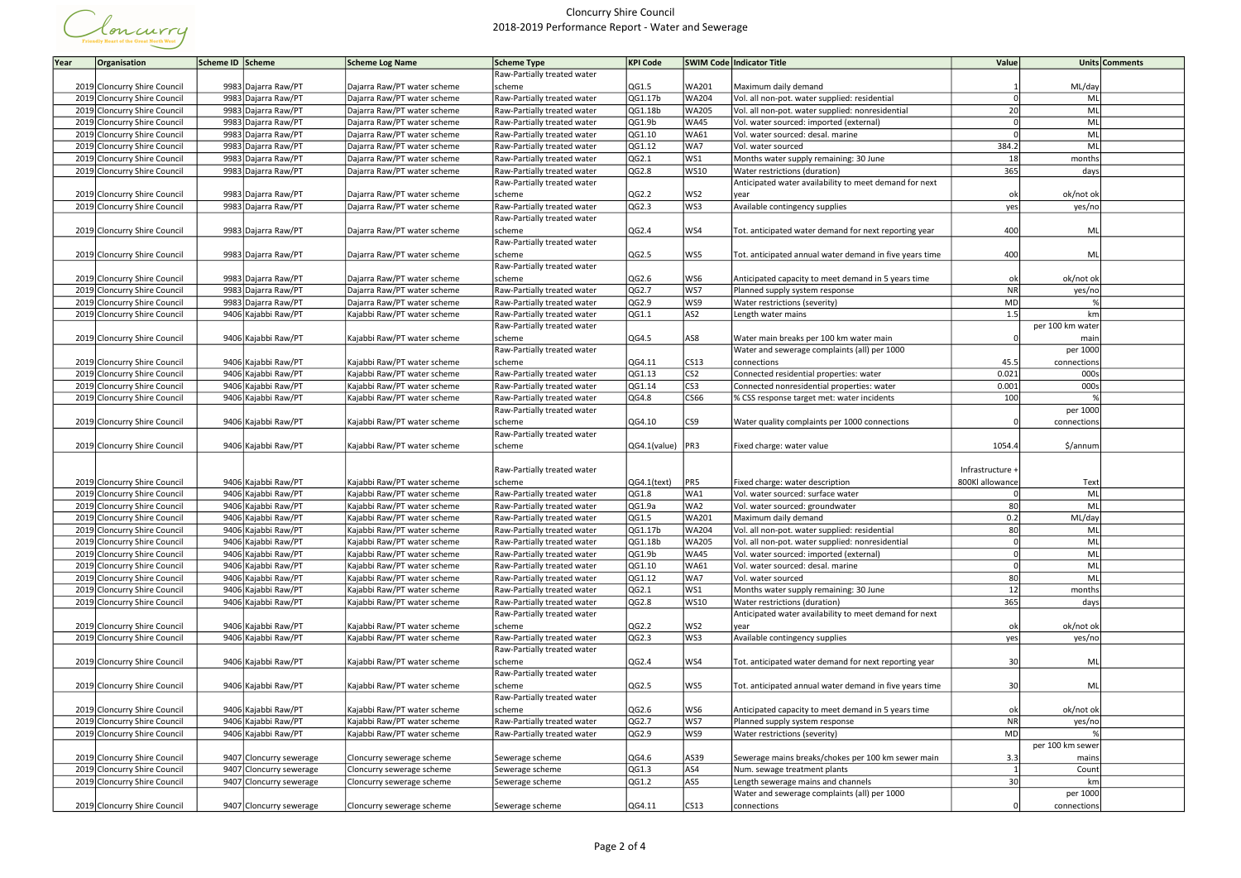

| Year<br>Organisation         | Scheme ID Scheme |                         | <b>Scheme Log Name</b>      | Scheme Type                           | <b>KPI Code</b>  |                  | SWIM Code   Indicator Title                             | Value            | Units Comments   |
|------------------------------|------------------|-------------------------|-----------------------------|---------------------------------------|------------------|------------------|---------------------------------------------------------|------------------|------------------|
|                              |                  |                         |                             | Raw-Partially treated water           |                  |                  |                                                         |                  |                  |
| 2019 Cloncurry Shire Council |                  | 9983 Dajarra Raw/PT     | Dajarra Raw/PT water scheme | scheme                                | QG1.5            | WA201            | Maximum daily demand                                    |                  | ML/day           |
| 2019 Cloncurry Shire Council |                  | 9983 Dajarra Raw/PT     | Dajarra Raw/PT water scheme | Raw-Partially treated water           | QG1.17b          | <b>WA204</b>     | Vol. all non-pot. water supplied: residential           |                  | ML               |
| 2019 Cloncurry Shire Council | 9983             | Dajarra Raw/PT          | Dajarra Raw/PT water scheme | Raw-Partially treated water           | QG1.18b          | WA205            | Vol. all non-pot. water supplied: nonresidential        | 20               | ML               |
| 2019 Cloncurry Shire Council |                  | 9983 Dajarra Raw/PT     | Dajarra Raw/PT water scheme | Raw-Partially treated water           | QG1.9b           | <b>WA45</b>      | Vol. water sourced: imported (external)                 |                  | ML               |
| 2019 Cloncurry Shire Council |                  | 9983 Dajarra Raw/PT     | Dajarra Raw/PT water scheme | Raw-Partially treated water           | QG1.10           | WA61             | Vol. water sourced: desal. marine                       |                  | ML               |
| 2019 Cloncurry Shire Council |                  | 9983 Dajarra Raw/PT     | Dajarra Raw/PT water scheme | Raw-Partially treated water           | QG1.12           | WA7              | Vol. water sourced                                      | 384.2            | ML               |
| 2019 Cloncurry Shire Council | 9983             | Dajarra Raw/PT          | Dajarra Raw/PT water scheme | Raw-Partially treated water           | QG2.1            | WS1              | Months water supply remaining: 30 June                  | 18               | months           |
| 2019 Cloncurry Shire Council |                  | 9983 Dajarra Raw/PT     | Dajarra Raw/PT water scheme | Raw-Partially treated water           | QG2.8            | WS10             | Water restrictions (duration)                           | 365              | days             |
|                              |                  |                         |                             | Raw-Partially treated water           |                  |                  | Anticipated water availability to meet demand for next  |                  |                  |
| 2019 Cloncurry Shire Council |                  | 9983 Dajarra Raw/PT     | Dajarra Raw/PT water scheme | scheme                                | QG2.2            | WS2              | year                                                    | ok               | ok/not ok        |
| 2019 Cloncurry Shire Council |                  | 9983 Dajarra Raw/PT     | Dajarra Raw/PT water scheme | Raw-Partially treated water           | QG2.3            | WS3              | Available contingency supplies                          | yes              | yes/no           |
|                              |                  |                         |                             | Raw-Partially treated water           |                  |                  |                                                         |                  |                  |
| 2019 Cloncurry Shire Council |                  | 9983 Dajarra Raw/PT     | Dajarra Raw/PT water scheme | scheme                                | QG2.4            | WS4              | Tot. anticipated water demand for next reporting year   | 400              | ML               |
|                              |                  |                         |                             | Raw-Partially treated water           |                  |                  |                                                         |                  |                  |
| 2019 Cloncurry Shire Council |                  | 9983 Dajarra Raw/PT     | Dajarra Raw/PT water scheme | scheme                                | QG2.5            | WS5              | Tot. anticipated annual water demand in five years time | 400              | ML               |
|                              |                  |                         |                             | Raw-Partially treated water           |                  |                  |                                                         |                  |                  |
| 2019 Cloncurry Shire Council |                  | 9983 Dajarra Raw/PT     | Dajarra Raw/PT water scheme | scheme                                | QG2.6            | WS6              | Anticipated capacity to meet demand in 5 years time     | ok               | ok/not ok        |
| 2019 Cloncurry Shire Council |                  | 9983 Dajarra Raw/PT     | Dajarra Raw/PT water scheme | Raw-Partially treated water           | QG2.7            | ws7              | Planned supply system response                          | <b>NR</b>        | yes/no           |
| 2019 Cloncurry Shire Council |                  | 9983 Dajarra Raw/PT     | Dajarra Raw/PT water scheme | Raw-Partially treated water           | QG2.9            | WS9              | Water restrictions (severity)                           | MD               |                  |
| 2019 Cloncurry Shire Council |                  | 9406 Kajabbi Raw/PT     | Kajabbi Raw/PT water scheme | Raw-Partially treated water           | QG1.1            | AS <sub>2</sub>  | Length water mains                                      | 1.5              | km               |
|                              |                  |                         |                             | Raw-Partially treated water           |                  |                  |                                                         |                  | per 100 km water |
| 2019 Cloncurry Shire Council |                  | 9406 Kajabbi Raw/PT     | Kajabbi Raw/PT water scheme | scheme                                | QG4.5            | AS8              | Water main breaks per 100 km water main                 |                  | mair             |
|                              |                  |                         |                             | Raw-Partially treated water           |                  |                  | Water and sewerage complaints (all) per 1000            |                  | per 1000         |
| 2019 Cloncurry Shire Council |                  | 9406 Kajabbi Raw/PT     | Kajabbi Raw/PT water scheme | scheme                                | QG4.11           | CS13             | connections                                             | 45.5             | connections      |
| 2019 Cloncurry Shire Council |                  | 9406 Kajabbi Raw/PT     | Kajabbi Raw/PT water scheme | Raw-Partially treated water           | QG1.13           | CS <sub>2</sub>  | Connected residential properties: water                 | 0.021            | 000s             |
| 2019 Cloncurry Shire Council |                  | 9406 Kajabbi Raw/PT     | Kajabbi Raw/PT water scheme | Raw-Partially treated water           | QG1.14           | CS <sub>3</sub>  | Connected nonresidential properties: water              | 0.001<br>100     | 000s             |
| 2019 Cloncurry Shire Council |                  | 9406 Kajabbi Raw/PT     | Kajabbi Raw/PT water scheme | Raw-Partially treated water           | QG4.8            | CS66             | % CSS response target met: water incidents              |                  |                  |
|                              |                  |                         | Kajabbi Raw/PT water scheme | Raw-Partially treated water           |                  | CS9              |                                                         |                  | per 1000         |
| 2019 Cloncurry Shire Council |                  | 9406 Kajabbi Raw/PT     |                             | scheme<br>Raw-Partially treated water | QG4.10           |                  | Water quality complaints per 1000 connections           |                  | connection:      |
| 2019 Cloncurry Shire Council |                  | 9406 Kajabbi Raw/PT     | Kajabbi Raw/PT water scheme | scheme                                | QG4.1(value) PR3 |                  | Fixed charge: water value                               | 1054.4           | \$/annum         |
|                              |                  |                         |                             |                                       |                  |                  |                                                         |                  |                  |
|                              |                  |                         |                             | Raw-Partially treated water           |                  |                  |                                                         | Infrastructure + |                  |
| 2019 Cloncurry Shire Council |                  | 9406 Kajabbi Raw/PT     | Kajabbi Raw/PT water scheme | scheme                                | $QG4.1$ (text)   | PR5              | Fixed charge: water description                         | 800Kl allowance  | Text             |
| 2019 Cloncurry Shire Council |                  | 9406 Kajabbi Raw/PT     | Kajabbi Raw/PT water scheme | Raw-Partially treated water           | QG1.8            | WA1              | Vol. water sourced: surface water                       |                  | ML               |
| 2019 Cloncurry Shire Council |                  | 9406 Kajabbi Raw/PT     | Kajabbi Raw/PT water scheme | Raw-Partially treated water           | QG1.9a           | WA2              | Vol. water sourced: groundwater                         | 80               | ML               |
| 2019 Cloncurry Shire Council |                  | 9406 Kajabbi Raw/PT     | Kajabbi Raw/PT water scheme | Raw-Partially treated water           | QG1.5            | WA201            | Maximum daily demand                                    | 0.2              | ML/day           |
| 2019 Cloncurry Shire Council |                  | 9406 Kajabbi Raw/PT     | Kajabbi Raw/PT water scheme | Raw-Partially treated water           | QG1.17b          | <b>WA204</b>     | Vol. all non-pot. water supplied: residential           | 80               | <b>ML</b>        |
| 2019 Cloncurry Shire Council |                  | 9406 Kajabbi Raw/PT     | Kajabbi Raw/PT water scheme | Raw-Partially treated water           | QG1.18b          | WA205            | Vol. all non-pot. water supplied: nonresidential        |                  | <b>ML</b>        |
| 2019 Cloncurry Shire Council |                  | 9406 Kajabbi Raw/PT     | Kajabbi Raw/PT water scheme | Raw-Partially treated water           | QG1.9b           | <b>WA45</b>      | Vol. water sourced: imported (external)                 |                  | <b>ML</b>        |
| 2019 Cloncurry Shire Council |                  | 9406 Kajabbi Raw/PT     | Kajabbi Raw/PT water scheme | Raw-Partially treated water           | QG1.10           | WA61             | Vol. water sourced: desal. marine                       |                  | ML               |
| 2019 Cloncurry Shire Council |                  | 9406 Kajabbi Raw/PT     | Kajabbi Raw/PT water scheme | Raw-Partially treated water           | QG1.12           | WA7              | Vol. water sourced                                      | 80               | ML               |
| 2019 Cloncurry Shire Council |                  | 9406 Kajabbi Raw/PT     | Kajabbi Raw/PT water scheme | Raw-Partially treated water           | QG2.1            | WS1              | Months water supply remaining: 30 June                  | 12               | months           |
| 2019 Cloncurry Shire Council |                  | 9406 Kajabbi Raw/PT     | Kajabbi Raw/PT water scheme | Raw-Partially treated water           | QG2.8            | WS10             | Water restrictions (duration)                           | 365              | days             |
|                              |                  |                         |                             | Raw-Partially treated water           |                  |                  | Anticipated water availability to meet demand for next  |                  |                  |
| 2019 Cloncurry Shire Council |                  | 9406 Kajabbi Raw/PT     | Kajabbi Raw/PT water scheme | scheme                                | QG2.2            | WS2              | lyear                                                   | ok               | ok/not ok        |
| 2019 Cloncurry Shire Council |                  | 9406 Kajabbi Raw/PT     | Kajabbi Raw/PT water scheme | Raw-Partially treated water           | QG2.3            | WS3              | Available contingency supplies                          | yes              | yes/no           |
|                              |                  |                         |                             | Raw-Partially treated water           |                  |                  |                                                         |                  |                  |
| 2019 Cloncurry Shire Council |                  | 9406 Kajabbi Raw/PT     | Kajabbi Raw/PT water scheme | scheme                                | QG2.4            | WS4              | Tot. anticipated water demand for next reporting year   | 30               | ML               |
|                              |                  |                         |                             | Raw-Partially treated water           |                  |                  |                                                         |                  |                  |
| 2019 Cloncurry Shire Council |                  | 9406 Kajabbi Raw/PT     | Kajabbi Raw/PT water scheme | scheme                                | QG2.5            | WS5              | Tot. anticipated annual water demand in five years time | 30               | ML               |
|                              |                  |                         |                             | Raw-Partially treated water           |                  |                  |                                                         |                  |                  |
| 2019 Cloncurry Shire Council |                  | 9406 Kajabbi Raw/PT     | Kajabbi Raw/PT water scheme | scheme                                | QG2.6            | WS6              | Anticipated capacity to meet demand in 5 years time     | ok               | ok/not ok        |
| 2019 Cloncurry Shire Council |                  | 9406 Kajabbi Raw/PT     | Kajabbi Raw/PT water scheme | Raw-Partially treated water           | QG2.7            | ws7              | Planned supply system response                          | <b>NR</b>        | yes/no           |
| 2019 Cloncurry Shire Council |                  | 9406 Kajabbi Raw/PT     | Kajabbi Raw/PT water scheme | Raw-Partially treated water           | QG2.9            | WS9              | Water restrictions (severity)                           | MD               |                  |
|                              |                  |                         |                             |                                       |                  |                  |                                                         |                  | per 100 km sewer |
| 2019 Cloncurry Shire Council |                  | 9407 Cloncurry sewerage | Cloncurry sewerage scheme   | Sewerage scheme                       | QG4.6            | AS39             | Sewerage mains breaks/chokes per 100 km sewer main      | 3.3              | mains            |
| 2019 Cloncurry Shire Council | 9407             | Cloncurry sewerage      | Cloncurry sewerage scheme   | Sewerage scheme                       | QG1.3            | AS4              | Num. sewage treatment plants                            |                  | Count            |
| 2019 Cloncurry Shire Council |                  | 9407 Cloncurry sewerage | Cloncurry sewerage scheme   | Sewerage scheme                       | QG1.2            | AS5              | Length sewerage mains and channels                      | 30               | km               |
|                              |                  |                         |                             |                                       |                  |                  | Water and sewerage complaints (all) per 1000            |                  | per 1000         |
| 2019 Cloncurry Shire Council |                  | 9407 Cloncurry sewerage | Cloncurry sewerage scheme   | Sewerage scheme                       | QG4.11           | CS <sub>13</sub> | connections                                             |                  | connections      |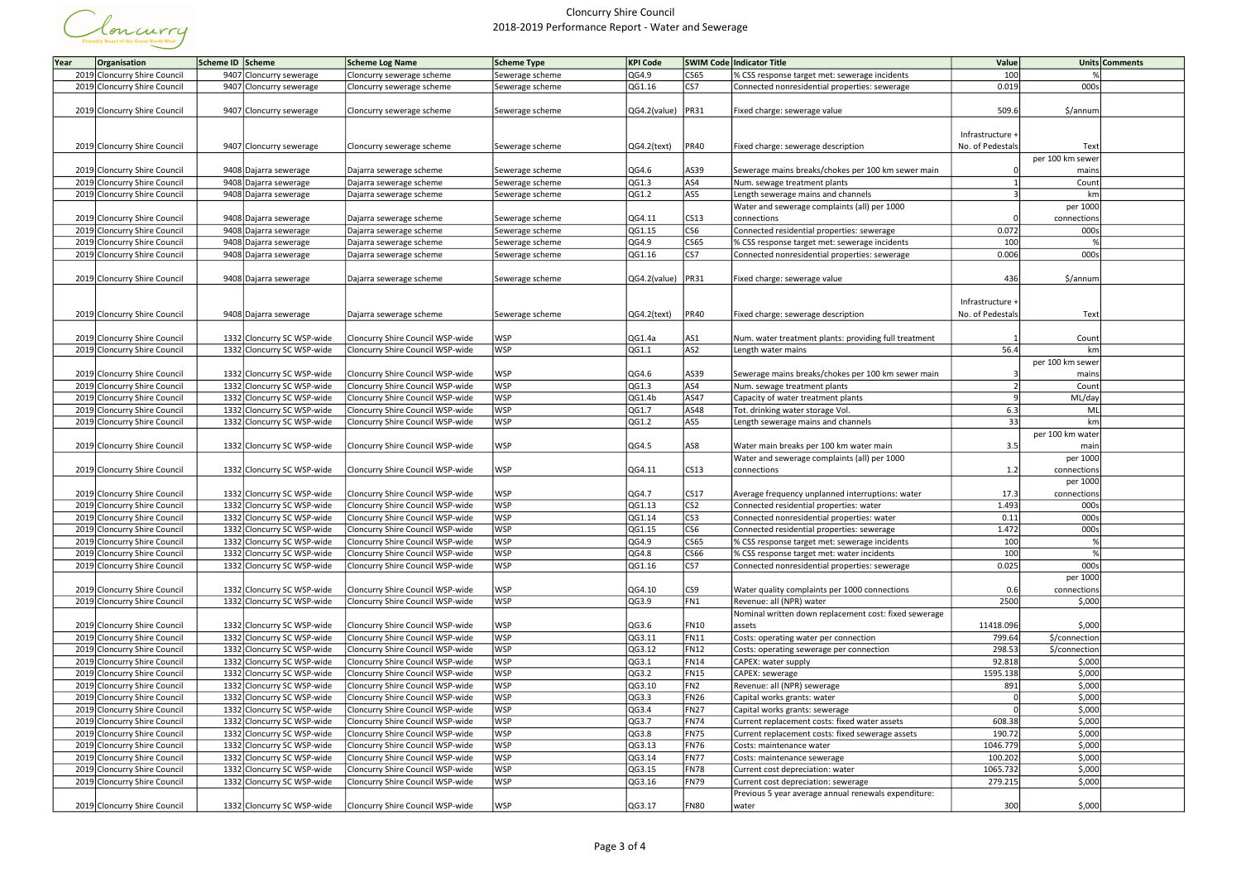

| Year | Organisation                 | Scheme ID Scheme           | <b>Scheme Log Name</b>           | Scheme Type     | <b>KPI Code</b>            |                         | SWIM Code   Indicator Title                           | Value            |                  | Units Comments |
|------|------------------------------|----------------------------|----------------------------------|-----------------|----------------------------|-------------------------|-------------------------------------------------------|------------------|------------------|----------------|
|      | 2019 Cloncurry Shire Council | 9407 Cloncurry sewerage    | Cloncurry sewerage scheme        | Sewerage scheme | QG4.9                      | CS65                    | % CSS response target met: sewerage incidents         | 100              |                  |                |
|      | 2019 Cloncurry Shire Council | 9407 Cloncurry sewerage    | Cloncurry sewerage scheme        | Sewerage scheme | QG1.16                     | CS7                     | Connected nonresidential properties: sewerage         | 0.019            | 000s             |                |
|      |                              |                            |                                  |                 |                            |                         |                                                       |                  |                  |                |
|      | 2019 Cloncurry Shire Council | 9407 Cloncurry sewerage    | Cloncurry sewerage scheme        | Sewerage scheme | QG4.2(value) PR31          |                         | Fixed charge: sewerage value                          | 509.6            | \$/annum         |                |
|      |                              |                            |                                  |                 |                            |                         |                                                       |                  |                  |                |
|      |                              |                            |                                  |                 |                            |                         |                                                       | Infrastructure + |                  |                |
|      | 2019 Cloncurry Shire Council | 9407 Cloncurry sewerage    | Cloncurry sewerage scheme        | Sewerage scheme | $\overline{QG4.2}$ (text)  | PR40                    | Fixed charge: sewerage description                    | No. of Pedestals | Text             |                |
|      |                              |                            |                                  |                 |                            |                         |                                                       |                  | per 100 km sewer |                |
|      | 2019 Cloncurry Shire Council | 9408 Dajarra sewerage      | Dajarra sewerage scheme          | Sewerage scheme | QG4.6                      | AS39                    | Sewerage mains breaks/chokes per 100 km sewer main    |                  | mains            |                |
|      | 2019 Cloncurry Shire Council | 9408 Dajarra sewerage      | Dajarra sewerage scheme          | Sewerage scheme | QG1.3                      | AS4                     | Num. sewage treatment plants                          |                  | Count            |                |
|      | 2019 Cloncurry Shire Council | 9408 Dajarra sewerage      | Dajarra sewerage scheme          | Sewerage scheme | QG1.2                      | AS5                     | Length sewerage mains and channels                    |                  | km               |                |
|      |                              |                            |                                  |                 |                            |                         | Water and sewerage complaints (all) per 1000          |                  | per 1000         |                |
|      | 2019 Cloncurry Shire Council | 9408 Dajarra sewerage      | Dajarra sewerage scheme          | Sewerage scheme | $\overline{Q}G4.11$        | CS13                    | connections                                           |                  | connections      |                |
|      | 2019 Cloncurry Shire Council | 9408 Dajarra sewerage      | Dajarra sewerage scheme          | Sewerage scheme | QG1.15                     | $\overline{\text{CS6}}$ | Connected residential properties: sewerage            | 0.072            | 000s             |                |
|      | 2019 Cloncurry Shire Council | 9408 Dajarra sewerage      | Dajarra sewerage scheme          | Sewerage scheme | QG4.9                      | CS65                    | % CSS response target met: sewerage incidents         | 100              |                  |                |
|      | 2019 Cloncurry Shire Council | 9408 Dajarra sewerage      | Dajarra sewerage scheme          | Sewerage scheme | QG1.16                     | cs7                     | Connected nonresidential properties: sewerage         | 0.006            | 000s             |                |
|      |                              |                            |                                  |                 |                            |                         |                                                       |                  |                  |                |
|      | 2019 Cloncurry Shire Council | 9408 Dajarra sewerage      | Dajarra sewerage scheme          | Sewerage scheme | QG4.2(value) PR31          |                         | Fixed charge: sewerage value                          | 436              | \$/annum         |                |
|      |                              |                            |                                  |                 |                            |                         |                                                       |                  |                  |                |
|      |                              |                            |                                  |                 |                            |                         |                                                       | Infrastructure + |                  |                |
|      | 2019 Cloncurry Shire Council | 9408 Dajarra sewerage      | Dajarra sewerage scheme          | Sewerage scheme | $QG4.2$ (text)             | PR40                    | Fixed charge: sewerage description                    | No. of Pedestals | Text             |                |
|      |                              |                            |                                  |                 |                            |                         |                                                       |                  |                  |                |
|      | 2019 Cloncurry Shire Council | 1332 Cloncurry SC WSP-wide | Cloncurry Shire Council WSP-wide | <b>WSP</b>      | QG1.4a                     | AS1                     | Num. water treatment plants: providing full treatment |                  | Count            |                |
|      | 2019 Cloncurry Shire Council | 1332 Cloncurry SC WSP-wide | Cloncurry Shire Council WSP-wide | <b>WSP</b>      | QG1.1                      | AS2                     | Length water mains                                    | 56.4             | km               |                |
|      |                              |                            |                                  |                 |                            |                         |                                                       |                  | per 100 km sewer |                |
|      | 2019 Cloncurry Shire Council | 1332 Cloncurry SC WSP-wide | Cloncurry Shire Council WSP-wide | <b>WSP</b>      | QG4.6                      | AS39                    | Sewerage mains breaks/chokes per 100 km sewer main    |                  | mains            |                |
|      | 2019 Cloncurry Shire Council | 1332 Cloncurry SC WSP-wide | Cloncurry Shire Council WSP-wide | <b>WSP</b>      | QG1.3                      | AS4                     | Num. sewage treatment plants                          |                  | Count            |                |
|      | 2019 Cloncurry Shire Council | 1332 Cloncurry SC WSP-wide | Cloncurry Shire Council WSP-wide | <b>WSP</b>      | QG1.4b                     | AS47                    | Capacity of water treatment plants                    |                  | ML/day           |                |
|      | 2019 Cloncurry Shire Council | 1332 Cloncurry SC WSP-wide | Cloncurry Shire Council WSP-wide | <b>WSP</b>      | QG1.7                      | AS48                    | Tot. drinking water storage Vol.                      | 6.3              | ML               |                |
|      | 2019 Cloncurry Shire Council | 1332 Cloncurry SC WSP-wide | Cloncurry Shire Council WSP-wide | <b>WSP</b>      | QG1.2                      | AS5                     | Length sewerage mains and channels                    | 33               | km               |                |
|      |                              |                            |                                  |                 |                            |                         |                                                       |                  | per 100 km water |                |
|      | 2019 Cloncurry Shire Council | 1332 Cloncurry SC WSP-wide | Cloncurry Shire Council WSP-wide | <b>WSP</b>      | QG4.5                      | AS8                     | Water main breaks per 100 km water main               | 3.5              | mair             |                |
|      |                              |                            |                                  |                 |                            |                         | Water and sewerage complaints (all) per 1000          |                  | per 1000         |                |
|      | 2019 Cloncurry Shire Council | 1332 Cloncurry SC WSP-wide | Cloncurry Shire Council WSP-wide | <b>WSP</b>      | QG4.11                     | CS13                    | connections                                           | 1.2              | connections      |                |
|      | 2019 Cloncurry Shire Council | 1332 Cloncurry SC WSP-wide | Cloncurry Shire Council WSP-wide | <b>WSP</b>      |                            | CS17                    | Average frequency unplanned interruptions: water      | 17.3             | per 1000         |                |
|      | 2019 Cloncurry Shire Council | 1332 Cloncurry SC WSP-wide | Cloncurry Shire Council WSP-wide | <b>WSP</b>      | QG4.7<br>QG1.13            | CS <sub>2</sub>         | Connected residential properties: water               | 1.493            | connections      |                |
|      | 2019 Cloncurry Shire Council | 1332 Cloncurry SC WSP-wide | Cloncurry Shire Council WSP-wide | <b>WSP</b>      | QG1.14                     | CS3                     | Connected nonresidential properties: water            | 0.11             | 000s<br>000s     |                |
|      | 2019 Cloncurry Shire Council | 1332 Cloncurry SC WSP-wide | Cloncurry Shire Council WSP-wide | <b>WSP</b>      | QG1.15                     | CS6                     | Connected residential properties: sewerage            | 1.472            | 000s             |                |
|      | 2019 Cloncurry Shire Council | 1332 Cloncurry SC WSP-wide | Cloncurry Shire Council WSP-wide | <b>WSP</b>      | QG4.9                      | CS65                    | % CSS response target met: sewerage incidents         | 100              |                  |                |
|      | 2019 Cloncurry Shire Council | 1332 Cloncurry SC WSP-wide | Cloncurry Shire Council WSP-wide | <b>WSP</b>      | QG4.8                      | CS66                    | % CSS response target met: water incidents            | 100              |                  |                |
|      | 2019 Cloncurry Shire Council | 1332 Cloncurry SC WSP-wide | Cloncurry Shire Council WSP-wide | <b>WSP</b>      | QG1.16                     | cs7                     | Connected nonresidential properties: sewerage         | 0.025            | 000s             |                |
|      |                              |                            |                                  |                 |                            |                         |                                                       |                  | per 1000         |                |
|      | 2019 Cloncurry Shire Council | 1332 Cloncurry SC WSP-wide | Cloncurry Shire Council WSP-wide | <b>WSP</b>      | QG4.10                     | CS9                     | Water quality complaints per 1000 connections         | 0.6              | connections      |                |
|      | 2019 Cloncurry Shire Council | 1332 Cloncurry SC WSP-wide | Cloncurry Shire Council WSP-wide | <b>WSP</b>      | QG3.9                      | FN1                     | Revenue: all (NPR) water                              | 2500             | \$,000           |                |
|      |                              |                            |                                  |                 |                            |                         | Nominal written down replacement cost: fixed sewerage |                  |                  |                |
|      | 2019 Cloncurry Shire Council | 1332 Cloncurry SC WSP-wide | Cloncurry Shire Council WSP-wide | <b>WSP</b>      | QG3.6                      | <b>FN10</b>             | assets                                                | 11418.096        | \$,000           |                |
|      | 2019 Cloncurry Shire Council | 1332 Cloncurry SC WSP-wide | Cloncurry Shire Council WSP-wide | <b>WSP</b>      | QG3.11                     | FN11                    | Costs: operating water per connection                 | 799.64           | \$/connection    |                |
|      | 2019 Cloncurry Shire Council | 1332 Cloncurry SC WSP-wide | Cloncurry Shire Council WSP-wide | <b>WSP</b>      | QG3.12                     | FN12                    | Costs: operating sewerage per connection              | 298.53           | \$/connection    |                |
|      | 2019 Cloncurry Shire Council | 1332 Cloncurry SC WSP-wide | Cloncurry Shire Council WSP-wide | <b>WSP</b>      | QG3.1                      | FN14                    | CAPEX: water supply                                   | 92.818           | \$,000           |                |
|      | 2019 Cloncurry Shire Council | 1332 Cloncurry SC WSP-wide | Cloncurry Shire Council WSP-wide | <b>WSP</b>      | QG3.2                      | <b>FN15</b>             | CAPEX: sewerage                                       | 1595.138         | \$,000           |                |
|      | 2019 Cloncurry Shire Council | 1332 Cloncurry SC WSP-wide | Cloncurry Shire Council WSP-wide | <b>WSP</b>      | QG3.10                     | FN <sub>2</sub>         | Revenue: all (NPR) sewerage                           | 891              | \$,000           |                |
|      | 2019 Cloncurry Shire Council | 1332 Cloncurry SC WSP-wide | Cloncurry Shire Council WSP-wide | WSP             | QG3.3                      | FN <sub>26</sub>        | Capital works grants: water                           |                  | \$,000           |                |
|      | 2019 Cloncurry Shire Council | 1332 Cloncurry SC WSP-wide | Cloncurry Shire Council WSP-wide | <b>WSP</b>      | QG3.4                      | FN <sub>27</sub>        | Capital works grants: sewerage                        |                  | \$,000           |                |
|      | 2019 Cloncurry Shire Council | 1332 Cloncurry SC WSP-wide | Cloncurry Shire Council WSP-wide | <b>WSP</b>      | QG3.7                      | FN74                    | Current replacement costs: fixed water assets         | 608.38           | \$,000           |                |
|      | 2019 Cloncurry Shire Council | 1332 Cloncurry SC WSP-wide | Cloncurry Shire Council WSP-wide | WSP             | QG3.8                      | FN75                    | Current replacement costs: fixed sewerage assets      | 190.72           | \$,000           |                |
|      | 2019 Cloncurry Shire Council | 1332 Cloncurry SC WSP-wide | Cloncurry Shire Council WSP-wide | <b>WSP</b>      | QG3.13                     | <b>FN76</b>             | Costs: maintenance water                              | 1046.779         | \$,000           |                |
|      | 2019 Cloncurry Shire Council | 1332 Cloncurry SC WSP-wide | Cloncurry Shire Council WSP-wide | <b>WSP</b>      | $\overline{\text{QG3}.14}$ | FN77                    | Costs: maintenance sewerage                           | 100.202          | \$,000           |                |
|      | 2019 Cloncurry Shire Council | 1332 Cloncurry SC WSP-wide | Cloncurry Shire Council WSP-wide | WSP             | QG3.15                     | FN78                    | Current cost depreciation: water                      | 1065.732         | \$,000           |                |
|      | 2019 Cloncurry Shire Council | 1332 Cloncurry SC WSP-wide | Cloncurry Shire Council WSP-wide | <b>WSP</b>      | QG3.16                     | FN79                    | Current cost depreciation: sewerage                   | 279.215          | \$,000           |                |
|      |                              |                            |                                  |                 |                            |                         | Previous 5 year average annual renewals expenditure:  |                  |                  |                |
|      | 2019 Cloncurry Shire Council | 1332 Cloncurry SC WSP-wide | Cloncurry Shire Council WSP-wide | <b>WSP</b>      | QG3.17                     | FN80                    | water                                                 | 300              | \$,000           |                |
|      |                              |                            |                                  |                 |                            |                         |                                                       |                  |                  |                |